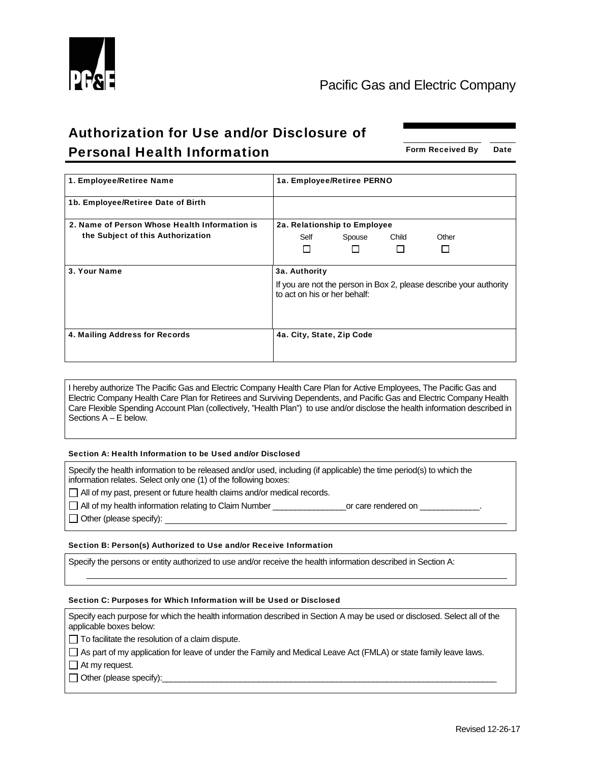

# Authorization for Use and/or Disclosure of **Personal Health Information** Form Received By Date

| 1. Employee/Retiree Name                      | 1a. Employee/Retiree PERNO                                                                         |
|-----------------------------------------------|----------------------------------------------------------------------------------------------------|
| 1b. Employee/Retiree Date of Birth            |                                                                                                    |
| 2. Name of Person Whose Health Information is | 2a. Relationship to Employee                                                                       |
| the Subject of this Authorization             | Self<br>Child<br>Other<br>Spouse                                                                   |
|                                               | П                                                                                                  |
|                                               |                                                                                                    |
| 3. Your Name                                  | 3a. Authority                                                                                      |
|                                               | If you are not the person in Box 2, please describe your authority<br>to act on his or her behalf: |
| 4. Mailing Address for Records                | 4a. City, State, Zip Code                                                                          |

I hereby authorize The Pacific Gas and Electric Company Health Care Plan for Active Employees, The Pacific Gas and Electric Company Health Care Plan for Retirees and Surviving Dependents, and Pacific Gas and Electric Company Health Care Flexible Spending Account Plan (collectively, "Health Plan") to use and/or disclose the health information described in Sections A – E below.

## Section A: Health Information to be Used and/or Disclosed

Specify the health information to be released and/or used, including (if applicable) the time period(s) to which the information relates. Select only one (1) of the following boxes:

□ All of my past, present or future health claims and/or medical records.

All of my health information relating to Claim Number **Example 2** or care rendered on

 $\Box$  Other (please specify):

## Section B: Person(s) Authorized to Use and/or Receive Information

Specify the persons or entity authorized to use and/or receive the health information described in Section A:

#### Section C: Purposes for Which Information will be Used or Disclosed

Specify each purpose for which the health information described in Section A may be used or disclosed. Select all of the applicable boxes below:

 $\Box$  To facilitate the resolution of a claim dispute.

As part of my application for leave of under the Family and Medical Leave Act (FMLA) or state family leave laws.

 $\Box$  At my request.

 $\Box$  Other (please specify):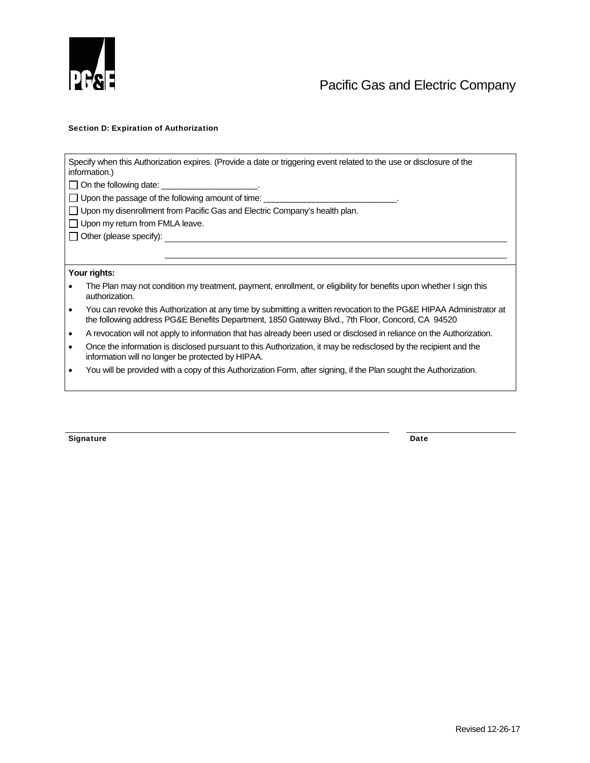

## Section D: Expiration of Authorization

| Specify when this Authorization expires. (Provide a date or triggering event related to the use or disclosure of the<br>information.) |                                                                                                                                                                                                                         |  |
|---------------------------------------------------------------------------------------------------------------------------------------|-------------------------------------------------------------------------------------------------------------------------------------------------------------------------------------------------------------------------|--|
|                                                                                                                                       | On the following date: ______________________.                                                                                                                                                                          |  |
|                                                                                                                                       | Upon the passage of the following amount of time: ___________________________.                                                                                                                                          |  |
| $\Box$ Upon my disenrollment from Pacific Gas and Electric Company's health plan.                                                     |                                                                                                                                                                                                                         |  |
| $\Box$ Upon my return from FMLA leave.                                                                                                |                                                                                                                                                                                                                         |  |
|                                                                                                                                       |                                                                                                                                                                                                                         |  |
|                                                                                                                                       |                                                                                                                                                                                                                         |  |
|                                                                                                                                       |                                                                                                                                                                                                                         |  |
| Your rights:                                                                                                                          |                                                                                                                                                                                                                         |  |
|                                                                                                                                       | The Plan may not condition my treatment, payment, enrollment, or eligibility for benefits upon whether I sign this<br>authorization.                                                                                    |  |
| $\bullet$                                                                                                                             | You can revoke this Authorization at any time by submitting a written revocation to the PG&E HIPAA Administrator at<br>the following address PG&E Benefits Department, 1850 Gateway Blvd., 7th Floor, Concord, CA 94520 |  |
| ٠                                                                                                                                     | A revocation will not apply to information that has already been used or disclosed in reliance on the Authorization.                                                                                                    |  |
| ٠                                                                                                                                     | Once the information is disclosed pursuant to this Authorization, it may be redisclosed by the recipient and the<br>information will no longer be protected by HIPAA.                                                   |  |
|                                                                                                                                       | You will be provided with a copy of this Authorization Form, after signing, if the Plan sought the Authorization.                                                                                                       |  |
|                                                                                                                                       |                                                                                                                                                                                                                         |  |

Signature Date Date Communications and the Date Date Date Date